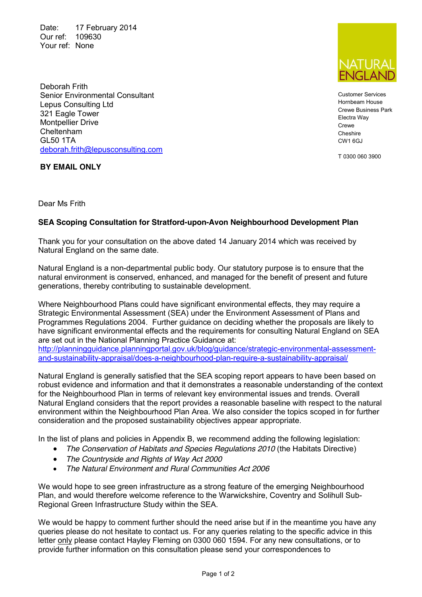Date: 17 February 2014 Our ref: 109630 Your ref: None



Customer Services Hornbeam House Crewe Business Park Electra Way **Crewe** Cheshire CW1 6GJ

T 0300 060 3900

Deborah Frith Senior Environmental Consultant Lepus Consulting Ltd 321 Eagle Tower Montpellier Drive Cheltenham GL50 1TA [deborah.frith@lepusconsulting.com](mailto:deborah.frith@lepusconsulting.com)

**BY EMAIL ONLY**

Dear Ms Frith

## **SEA Scoping Consultation for Stratford-upon-Avon Neighbourhood Development Plan**

Thank you for your consultation on the above dated 14 January 2014 which was received by Natural England on the same date.

Natural England is a non-departmental public body. Our statutory purpose is to ensure that the natural environment is conserved, enhanced, and managed for the benefit of present and future generations, thereby contributing to sustainable development.

Where Neighbourhood Plans could have significant environmental effects, they may require a Strategic Environmental Assessment (SEA) under the Environment Assessment of Plans and Programmes Regulations 2004. Further guidance on deciding whether the proposals are likely to have significant environmental effects and the requirements for consulting Natural England on SEA are set out in the National Planning Practice Guidance at:

[http://planningguidance.planningportal.gov.uk/blog/guidance/strategic-environmental-assessment](http://planningguidance.planningportal.gov.uk/blog/guidance/strategic-environmental-assessment-and-sustainability-appraisal/does-a-neighbourhood-plan-require-a-sustainability-appraisal/)[and-sustainability-appraisal/does-a-neighbourhood-plan-require-a-sustainability-appraisal/](http://planningguidance.planningportal.gov.uk/blog/guidance/strategic-environmental-assessment-and-sustainability-appraisal/does-a-neighbourhood-plan-require-a-sustainability-appraisal/)

Natural England is generally satisfied that the SEA scoping report appears to have been based on robust evidence and information and that it demonstrates a reasonable understanding of the context for the Neighbourhood Plan in terms of relevant key environmental issues and trends. Overall Natural England considers that the report provides a reasonable baseline with respect to the natural environment within the Neighbourhood Plan Area. We also consider the topics scoped in for further consideration and the proposed sustainability objectives appear appropriate.

In the list of plans and policies in Appendix B, we recommend adding the following legislation:

- The Conservation of Habitats and Species Regulations 2010 (the Habitats Directive)
- *The Countryside and Rights of Way Act 2000*
- *The Natural Environment and Rural Communities Act 2006*

We would hope to see green infrastructure as a strong feature of the emerging Neighbourhood Plan, and would therefore welcome reference to the Warwickshire, Coventry and Solihull Sub-Regional Green Infrastructure Study within the SEA.

We would be happy to comment further should the need arise but if in the meantime you have any queries please do not hesitate to contact us. For any queries relating to the specific advice in this letter only please contact Hayley Fleming on 0300 060 1594. For any new consultations, or to provide further information on this consultation please send your correspondences to